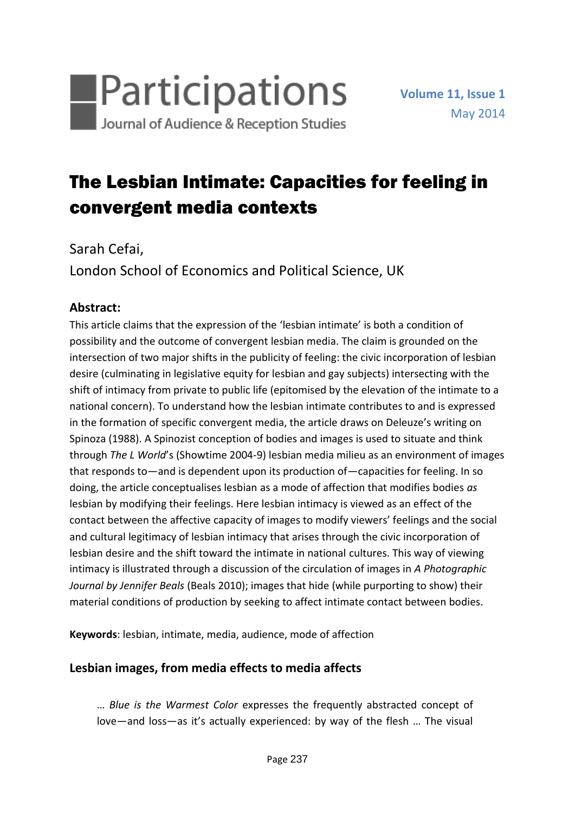

# The Lesbian Intimate: Capacities for feeling in convergent media contexts

Sarah Cefai, London School of Economics and Political Science, UK

## **Abstract:**

This article claims that the expression of the 'lesbian intimate' is both a condition of possibility and the outcome of convergent lesbian media. The claim is grounded on the intersection of two major shifts in the publicity of feeling: the civic incorporation of lesbian desire (culminating in legislative equity for lesbian and gay subjects) intersecting with the shift of intimacy from private to public life (epitomised by the elevation of the intimate to a national concern). To understand how the lesbian intimate contributes to and is expressed in the formation of specific convergent media, the article draws on Deleuze's writing on Spinoza (1988). A Spinozist conception of bodies and images is used to situate and think through *The L World*'s (Showtime 2004-9) lesbian media milieu as an environment of images that responds to—and is dependent upon its production of—capacities for feeling. In so doing, the article conceptualises lesbian as a mode of affection that modifies bodies *as* lesbian by modifying their feelings. Here lesbian intimacy is viewed as an effect of the contact between the affective capacity of images to modify viewers' feelings and the social and cultural legitimacy of lesbian intimacy that arises through the civic incorporation of lesbian desire and the shift toward the intimate in national cultures. This way of viewing intimacy is illustrated through a discussion of the circulation of images in *A Photographic Journal by Jennifer Beals* (Beals 2010); images that hide (while purporting to show) their material conditions of production by seeking to affect intimate contact between bodies.

**Keywords**: lesbian, intimate, media, audience, mode of affection

# **Lesbian images, from media effects to media affects**

… *Blue is the Warmest Color* expresses the frequently abstracted concept of love—and loss—as it's actually experienced: by way of the flesh … The visual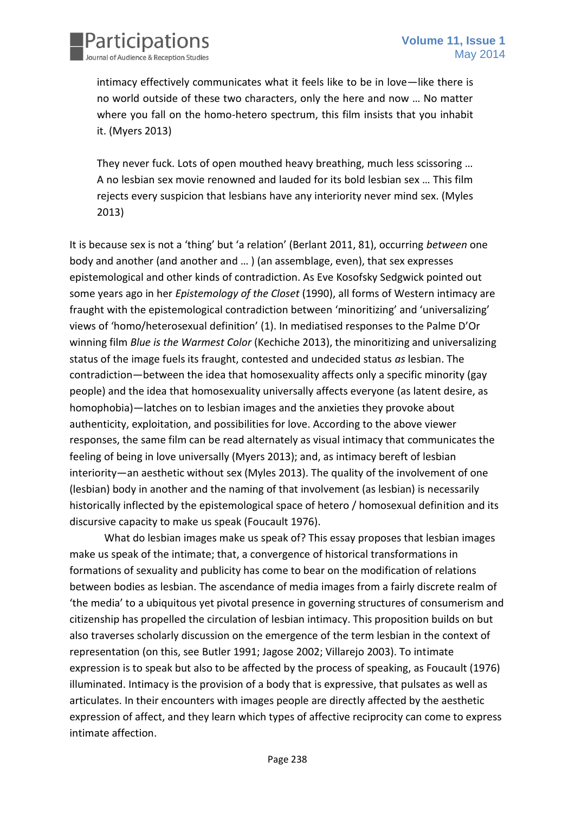

intimacy effectively communicates what it feels like to be in love—like there is no world outside of these two characters, only the here and now … No matter where you fall on the homo-hetero spectrum, this film insists that you inhabit it. (Myers 2013)

They never fuck. Lots of open mouthed heavy breathing, much less scissoring … A no lesbian sex movie renowned and lauded for its bold lesbian sex … This film rejects every suspicion that lesbians have any interiority never mind sex. (Myles 2013)

It is because sex is not a 'thing' but 'a relation' (Berlant 2011, 81), occurring *between* one body and another (and another and … ) (an assemblage, even), that sex expresses epistemological and other kinds of contradiction. As Eve Kosofsky Sedgwick pointed out some years ago in her *Epistemology of the Closet* (1990), all forms of Western intimacy are fraught with the epistemological contradiction between 'minoritizing' and 'universalizing' views of 'homo/heterosexual definition' (1). In mediatised responses to the Palme D'Or winning film *Blue is the Warmest Color* (Kechiche 2013), the minoritizing and universalizing status of the image fuels its fraught, contested and undecided status *as* lesbian. The contradiction—between the idea that homosexuality affects only a specific minority (gay people) and the idea that homosexuality universally affects everyone (as latent desire, as homophobia)—latches on to lesbian images and the anxieties they provoke about authenticity, exploitation, and possibilities for love. According to the above viewer responses, the same film can be read alternately as visual intimacy that communicates the feeling of being in love universally (Myers 2013); and, as intimacy bereft of lesbian interiority—an aesthetic without sex (Myles 2013). The quality of the involvement of one (lesbian) body in another and the naming of that involvement (as lesbian) is necessarily historically inflected by the epistemological space of hetero / homosexual definition and its discursive capacity to make us speak (Foucault 1976).

What do lesbian images make us speak of? This essay proposes that lesbian images make us speak of the intimate; that, a convergence of historical transformations in formations of sexuality and publicity has come to bear on the modification of relations between bodies as lesbian. The ascendance of media images from a fairly discrete realm of 'the media' to a ubiquitous yet pivotal presence in governing structures of consumerism and citizenship has propelled the circulation of lesbian intimacy. This proposition builds on but also traverses scholarly discussion on the emergence of the term lesbian in the context of representation (on this, see Butler 1991; Jagose 2002; Villarejo 2003). To intimate expression is to speak but also to be affected by the process of speaking, as Foucault (1976) illuminated. Intimacy is the provision of a body that is expressive, that pulsates as well as articulates. In their encounters with images people are directly affected by the aesthetic expression of affect, and they learn which types of affective reciprocity can come to express intimate affection.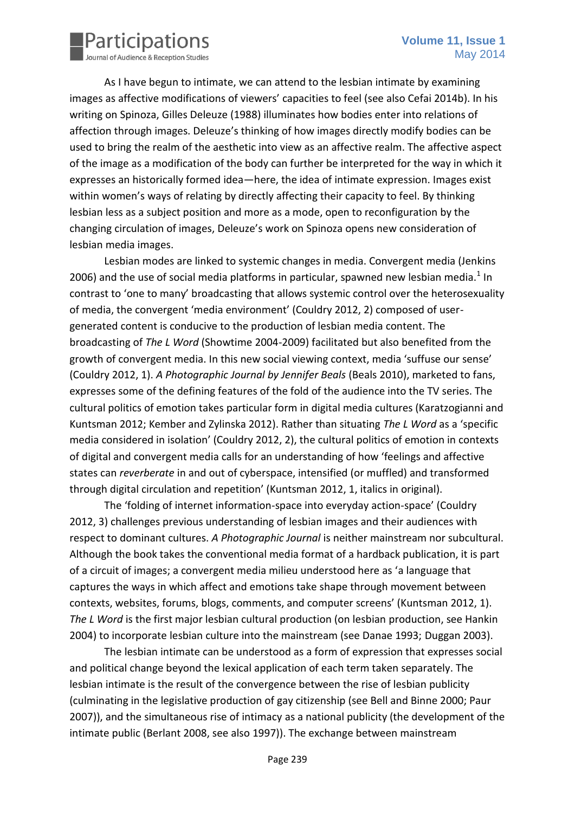

As I have begun to intimate, we can attend to the lesbian intimate by examining images as affective modifications of viewers' capacities to feel (see also Cefai 2014b). In his writing on Spinoza, Gilles Deleuze (1988) illuminates how bodies enter into relations of affection through images. Deleuze's thinking of how images directly modify bodies can be used to bring the realm of the aesthetic into view as an affective realm. The affective aspect of the image as a modification of the body can further be interpreted for the way in which it expresses an historically formed idea—here, the idea of intimate expression. Images exist within women's ways of relating by directly affecting their capacity to feel. By thinking lesbian less as a subject position and more as a mode, open to reconfiguration by the changing circulation of images, Deleuze's work on Spinoza opens new consideration of lesbian media images.

Lesbian modes are linked to systemic changes in media. Convergent media (Jenkins 2006) and the use of social media platforms in particular, spawned new lesbian media. $1$  In contrast to 'one to many' broadcasting that allows systemic control over the heterosexuality of media, the convergent 'media environment' (Couldry 2012, 2) composed of usergenerated content is conducive to the production of lesbian media content. The broadcasting of *The L Word* (Showtime 2004-2009) facilitated but also benefited from the growth of convergent media. In this new social viewing context, media 'suffuse our sense' (Couldry 2012, 1). *A Photographic Journal by Jennifer Beals* (Beals 2010), marketed to fans, expresses some of the defining features of the fold of the audience into the TV series. The cultural politics of emotion takes particular form in digital media cultures (Karatzogianni and Kuntsman 2012; Kember and Zylinska 2012). Rather than situating *The L Word* as a 'specific media considered in isolation' (Couldry 2012, 2), the cultural politics of emotion in contexts of digital and convergent media calls for an understanding of how 'feelings and affective states can *reverberate* in and out of cyberspace, intensified (or muffled) and transformed through digital circulation and repetition' (Kuntsman 2012, 1, italics in original).

The 'folding of internet information-space into everyday action-space' (Couldry 2012, 3) challenges previous understanding of lesbian images and their audiences with respect to dominant cultures. *A Photographic Journal* is neither mainstream nor subcultural. Although the book takes the conventional media format of a hardback publication, it is part of a circuit of images; a convergent media milieu understood here as 'a language that captures the ways in which affect and emotions take shape through movement between contexts, websites, forums, blogs, comments, and computer screens' (Kuntsman 2012, 1). The L Word is the first major lesbian cultural production (on lesbian production, see Hankin 2004) to incorporate lesbian culture into the mainstream (see Danae 1993; Duggan 2003).

The lesbian intimate can be understood as a form of expression that expresses social and political change beyond the lexical application of each term taken separately. The lesbian intimate is the result of the convergence between the rise of lesbian publicity (culminating in the legislative production of gay citizenship (see Bell and Binne 2000; Paur 2007)), and the simultaneous rise of intimacy as a national publicity (the development of the intimate public (Berlant 2008, see also 1997)). The exchange between mainstream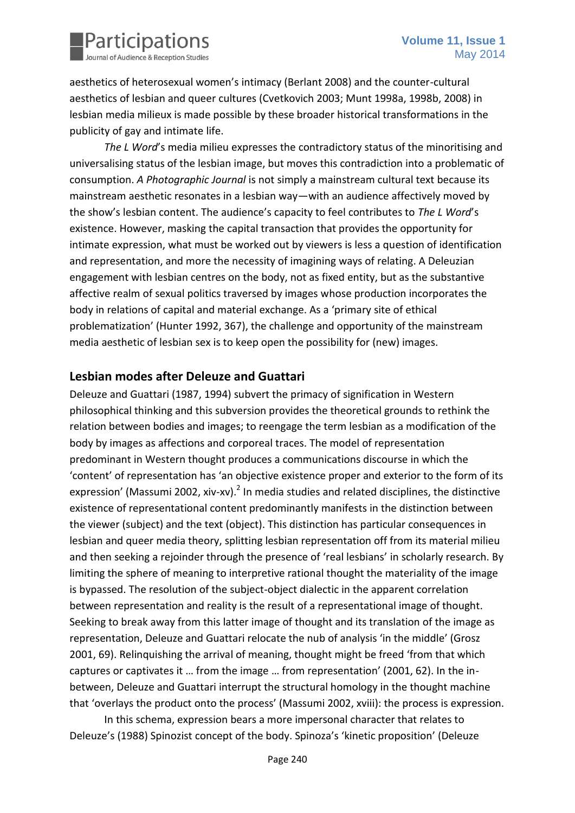

aesthetics of heterosexual women's intimacy (Berlant 2008) and the counter-cultural aesthetics of lesbian and queer cultures (Cvetkovich 2003; Munt 1998a, 1998b, 2008) in lesbian media milieux is made possible by these broader historical transformations in the publicity of gay and intimate life.

*The L Word*'s media milieu expresses the contradictory status of the minoritising and universalising status of the lesbian image, but moves this contradiction into a problematic of consumption. *A Photographic Journal* is not simply a mainstream cultural text because its mainstream aesthetic resonates in a lesbian way—with an audience affectively moved by the show's lesbian content. The audience's capacity to feel contributes to *The L Word*'s existence. However, masking the capital transaction that provides the opportunity for intimate expression, what must be worked out by viewers is less a question of identification and representation, and more the necessity of imagining ways of relating. A Deleuzian engagement with lesbian centres on the body, not as fixed entity, but as the substantive affective realm of sexual politics traversed by images whose production incorporates the body in relations of capital and material exchange. As a 'primary site of ethical problematization' (Hunter 1992, 367), the challenge and opportunity of the mainstream media aesthetic of lesbian sex is to keep open the possibility for (new) images.

## **Lesbian modes after Deleuze and Guattari**

Deleuze and Guattari (1987, 1994) subvert the primacy of signification in Western philosophical thinking and this subversion provides the theoretical grounds to rethink the relation between bodies and images; to reengage the term lesbian as a modification of the body by images as affections and corporeal traces. The model of representation predominant in Western thought produces a communications discourse in which the 'content' of representation has 'an objective existence proper and exterior to the form of its expression' (Massumi 2002, xiv-xv). $^2$  In media studies and related disciplines, the distinctive existence of representational content predominantly manifests in the distinction between the viewer (subject) and the text (object). This distinction has particular consequences in lesbian and queer media theory, splitting lesbian representation off from its material milieu and then seeking a rejoinder through the presence of 'real lesbians' in scholarly research. By limiting the sphere of meaning to interpretive rational thought the materiality of the image is bypassed. The resolution of the subject-object dialectic in the apparent correlation between representation and reality is the result of a representational image of thought. Seeking to break away from this latter image of thought and its translation of the image as representation, Deleuze and Guattari relocate the nub of analysis 'in the middle' (Grosz 2001, 69). Relinquishing the arrival of meaning, thought might be freed 'from that which captures or captivates it … from the image … from representation' (2001, 62). In the inbetween, Deleuze and Guattari interrupt the structural homology in the thought machine that 'overlays the product onto the process' (Massumi 2002, xviii): the process is expression.

In this schema, expression bears a more impersonal character that relates to Deleuze's (1988) Spinozist concept of the body. Spinoza's 'kinetic proposition' (Deleuze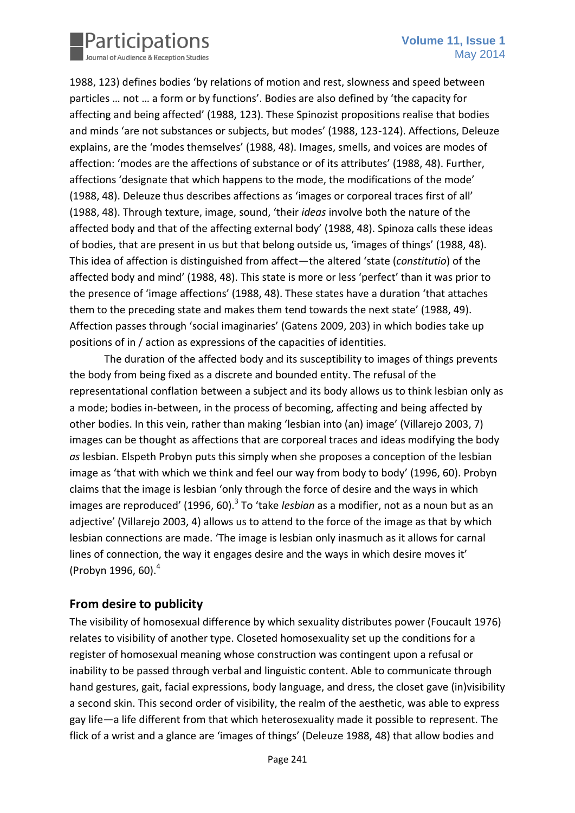

1988, 123) defines bodies 'by relations of motion and rest, slowness and speed between particles … not … a form or by functions'. Bodies are also defined by 'the capacity for affecting and being affected' (1988, 123). These Spinozist propositions realise that bodies and minds 'are not substances or subjects, but modes' (1988, 123-124). Affections, Deleuze explains, are the 'modes themselves' (1988, 48). Images, smells, and voices are modes of affection: 'modes are the affections of substance or of its attributes' (1988, 48). Further, affections 'designate that which happens to the mode, the modifications of the mode' (1988, 48). Deleuze thus describes affections as 'images or corporeal traces first of all' (1988, 48). Through texture, image, sound, 'their *ideas* involve both the nature of the affected body and that of the affecting external body' (1988, 48). Spinoza calls these ideas of bodies, that are present in us but that belong outside us, 'images of things' (1988, 48). This idea of affection is distinguished from affect—the altered 'state (*constitutio*) of the affected body and mind' (1988, 48). This state is more or less 'perfect' than it was prior to the presence of 'image affections' (1988, 48). These states have a duration 'that attaches them to the preceding state and makes them tend towards the next state' (1988, 49). Affection passes through 'social imaginaries' (Gatens 2009, 203) in which bodies take up positions of in / action as expressions of the capacities of identities.

The duration of the affected body and its susceptibility to images of things prevents the body from being fixed as a discrete and bounded entity. The refusal of the representational conflation between a subject and its body allows us to think lesbian only as a mode; bodies in-between, in the process of becoming, affecting and being affected by other bodies. In this vein, rather than making 'lesbian into (an) image' (Villarejo 2003, 7) images can be thought as affections that are corporeal traces and ideas modifying the body *as* lesbian. Elspeth Probyn puts this simply when she proposes a conception of the lesbian image as 'that with which we think and feel our way from body to body' (1996, 60). Probyn claims that the image is lesbian 'only through the force of desire and the ways in which images are reproduced' (1996, 60).<sup>3</sup> To 'take *lesbian* as a modifier, not as a noun but as an adjective' (Villarejo 2003, 4) allows us to attend to the force of the image as that by which lesbian connections are made. 'The image is lesbian only inasmuch as it allows for carnal lines of connection, the way it engages desire and the ways in which desire moves it' (Probyn 1996, 60).<sup>4</sup>

## **From desire to publicity**

The visibility of homosexual difference by which sexuality distributes power (Foucault 1976) relates to visibility of another type. Closeted homosexuality set up the conditions for a register of homosexual meaning whose construction was contingent upon a refusal or inability to be passed through verbal and linguistic content. Able to communicate through hand gestures, gait, facial expressions, body language, and dress, the closet gave (in)visibility a second skin. This second order of visibility, the realm of the aesthetic, was able to express gay life—a life different from that which heterosexuality made it possible to represent. The flick of a wrist and a glance are 'images of things' (Deleuze 1988, 48) that allow bodies and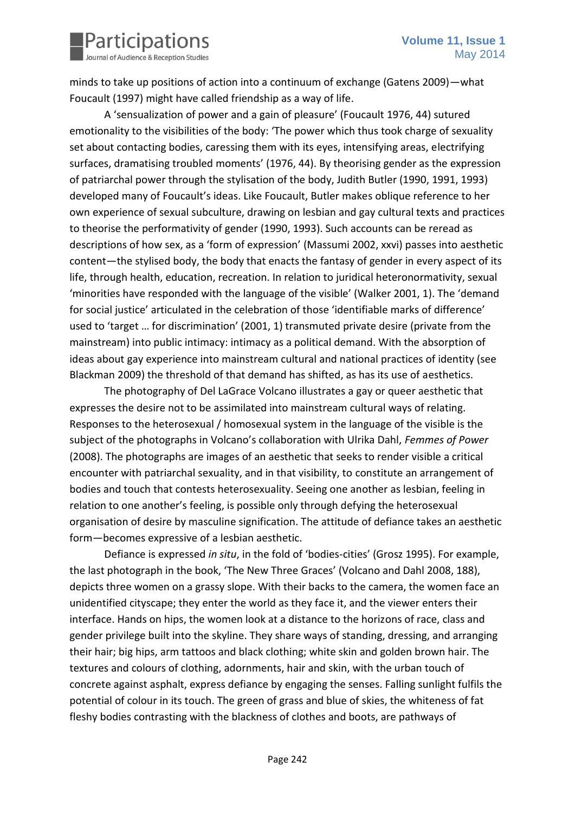

minds to take up positions of action into a continuum of exchange (Gatens 2009)—what Foucault (1997) might have called friendship as a way of life.

A 'sensualization of power and a gain of pleasure' (Foucault 1976, 44) sutured emotionality to the visibilities of the body: 'The power which thus took charge of sexuality set about contacting bodies, caressing them with its eyes, intensifying areas, electrifying surfaces, dramatising troubled moments' (1976, 44). By theorising gender as the expression of patriarchal power through the stylisation of the body, Judith Butler (1990, 1991, 1993) developed many of Foucault's ideas. Like Foucault, Butler makes oblique reference to her own experience of sexual subculture, drawing on lesbian and gay cultural texts and practices to theorise the performativity of gender (1990, 1993). Such accounts can be reread as descriptions of how sex, as a 'form of expression' (Massumi 2002, xxvi) passes into aesthetic content—the stylised body, the body that enacts the fantasy of gender in every aspect of its life, through health, education, recreation. In relation to juridical heteronormativity, sexual 'minorities have responded with the language of the visible' (Walker 2001, 1). The 'demand for social justice' articulated in the celebration of those 'identifiable marks of difference' used to 'target … for discrimination' (2001, 1) transmuted private desire (private from the mainstream) into public intimacy: intimacy as a political demand. With the absorption of ideas about gay experience into mainstream cultural and national practices of identity (see Blackman 2009) the threshold of that demand has shifted, as has its use of aesthetics.

The photography of Del LaGrace Volcano illustrates a gay or queer aesthetic that expresses the desire not to be assimilated into mainstream cultural ways of relating. Responses to the heterosexual / homosexual system in the language of the visible is the subject of the photographs in Volcano's collaboration with Ulrika Dahl, *Femmes of Power* (2008). The photographs are images of an aesthetic that seeks to render visible a critical encounter with patriarchal sexuality, and in that visibility, to constitute an arrangement of bodies and touch that contests heterosexuality. Seeing one another as lesbian, feeling in relation to one another's feeling, is possible only through defying the heterosexual organisation of desire by masculine signification. The attitude of defiance takes an aesthetic form—becomes expressive of a lesbian aesthetic.

Defiance is expressed *in situ*, in the fold of 'bodies-cities' (Grosz 1995). For example, the last photograph in the book, 'The New Three Graces' (Volcano and Dahl 2008, 188), depicts three women on a grassy slope. With their backs to the camera, the women face an unidentified cityscape; they enter the world as they face it, and the viewer enters their interface. Hands on hips, the women look at a distance to the horizons of race, class and gender privilege built into the skyline. They share ways of standing, dressing, and arranging their hair; big hips, arm tattoos and black clothing; white skin and golden brown hair. The textures and colours of clothing, adornments, hair and skin, with the urban touch of concrete against asphalt, express defiance by engaging the senses. Falling sunlight fulfils the potential of colour in its touch. The green of grass and blue of skies, the whiteness of fat fleshy bodies contrasting with the blackness of clothes and boots, are pathways of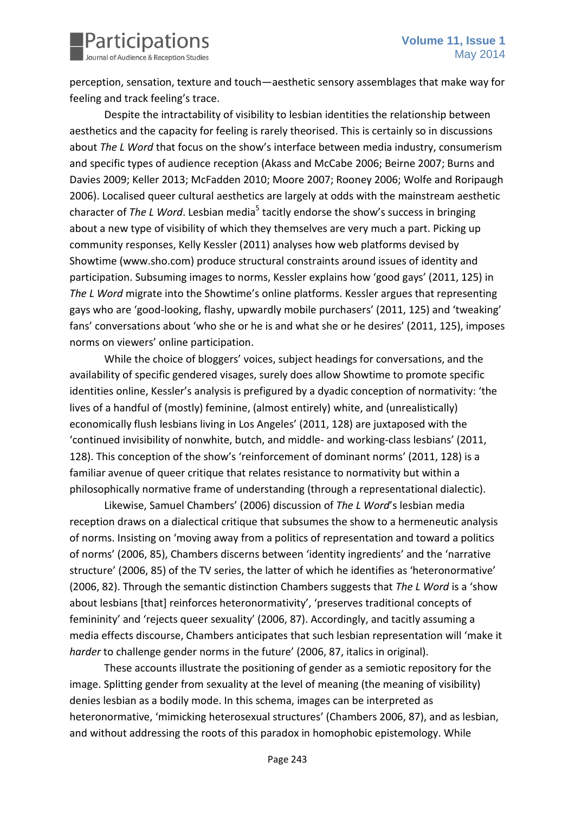perception, sensation, texture and touch—aesthetic sensory assemblages that make way for feeling and track feeling's trace.

Despite the intractability of visibility to lesbian identities the relationship between aesthetics and the capacity for feeling is rarely theorised. This is certainly so in discussions about *The L Word* that focus on the show's interface between media industry, consumerism and specific types of audience reception (Akass and McCabe 2006; Beirne 2007; Burns and Davies 2009; Keller 2013; McFadden 2010; Moore 2007; Rooney 2006; Wolfe and Roripaugh 2006). Localised queer cultural aesthetics are largely at odds with the mainstream aesthetic character of The L Word. Lesbian media<sup>5</sup> tacitly endorse the show's success in bringing about a new type of visibility of which they themselves are very much a part. Picking up community responses, Kelly Kessler (2011) analyses how web platforms devised by Showtime (www.sho.com) produce structural constraints around issues of identity and participation. Subsuming images to norms, Kessler explains how 'good gays' (2011, 125) in *The L Word* migrate into the Showtime's online platforms. Kessler argues that representing gays who are 'good-looking, flashy, upwardly mobile purchasers' (2011, 125) and 'tweaking' fans' conversations about 'who she or he is and what she or he desires' (2011, 125), imposes norms on viewers' online participation.

While the choice of bloggers' voices, subject headings for conversations, and the availability of specific gendered visages, surely does allow Showtime to promote specific identities online, Kessler's analysis is prefigured by a dyadic conception of normativity: 'the lives of a handful of (mostly) feminine, (almost entirely) white, and (unrealistically) economically flush lesbians living in Los Angeles' (2011, 128) are juxtaposed with the 'continued invisibility of nonwhite, butch, and middle- and working-class lesbians' (2011, 128). This conception of the show's 'reinforcement of dominant norms' (2011, 128) is a familiar avenue of queer critique that relates resistance to normativity but within a philosophically normative frame of understanding (through a representational dialectic).

Likewise, Samuel Chambers' (2006) discussion of *The L Word*'s lesbian media reception draws on a dialectical critique that subsumes the show to a hermeneutic analysis of norms. Insisting on 'moving away from a politics of representation and toward a politics of norms' (2006, 85), Chambers discerns between 'identity ingredients' and the 'narrative structure' (2006, 85) of the TV series, the latter of which he identifies as 'heteronormative' (2006, 82). Through the semantic distinction Chambers suggests that *The L Word* is a 'show about lesbians [that] reinforces heteronormativity', 'preserves traditional concepts of femininity' and 'rejects queer sexuality' (2006, 87). Accordingly, and tacitly assuming a media effects discourse, Chambers anticipates that such lesbian representation will 'make it *harder* to challenge gender norms in the future' (2006, 87, italics in original).

These accounts illustrate the positioning of gender as a semiotic repository for the image. Splitting gender from sexuality at the level of meaning (the meaning of visibility) denies lesbian as a bodily mode. In this schema, images can be interpreted as heteronormative, 'mimicking heterosexual structures' (Chambers 2006, 87), and as lesbian, and without addressing the roots of this paradox in homophobic epistemology. While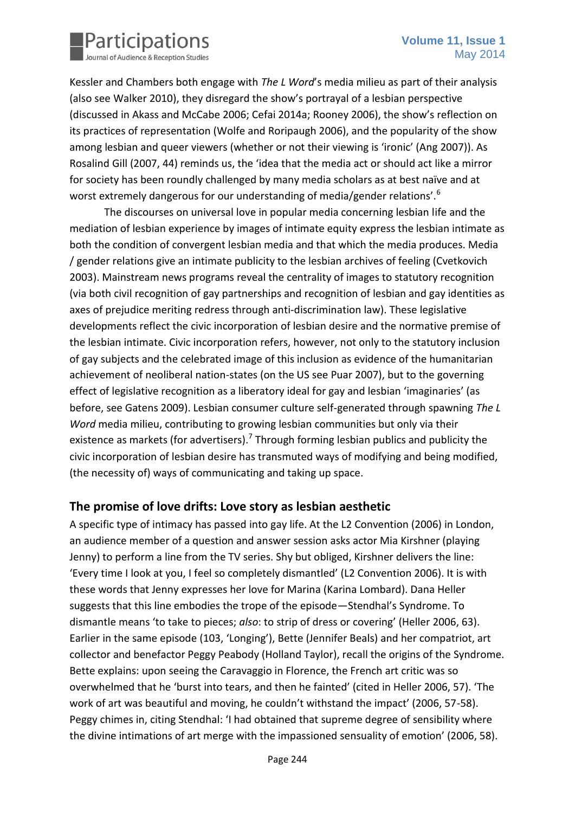

Kessler and Chambers both engage with *The L Word*'s media milieu as part of their analysis (also see Walker 2010), they disregard the show's portrayal of a lesbian perspective (discussed in Akass and McCabe 2006; Cefai 2014a; Rooney 2006), the show's reflection on its practices of representation (Wolfe and Roripaugh 2006), and the popularity of the show among lesbian and queer viewers (whether or not their viewing is 'ironic' (Ang 2007)). As Rosalind Gill (2007, 44) reminds us, the 'idea that the media act or should act like a mirror for society has been roundly challenged by many media scholars as at best naïve and at worst extremely dangerous for our understanding of media/gender relations'.<sup>6</sup>

The discourses on universal love in popular media concerning lesbian life and the mediation of lesbian experience by images of intimate equity express the lesbian intimate as both the condition of convergent lesbian media and that which the media produces. Media / gender relations give an intimate publicity to the lesbian archives of feeling (Cvetkovich 2003). Mainstream news programs reveal the centrality of images to statutory recognition (via both civil recognition of gay partnerships and recognition of lesbian and gay identities as axes of prejudice meriting redress through anti-discrimination law). These legislative developments reflect the civic incorporation of lesbian desire and the normative premise of the lesbian intimate. Civic incorporation refers, however, not only to the statutory inclusion of gay subjects and the celebrated image of this inclusion as evidence of the humanitarian achievement of neoliberal nation-states (on the US see Puar 2007), but to the governing effect of legislative recognition as a liberatory ideal for gay and lesbian 'imaginaries' (as before, see Gatens 2009). Lesbian consumer culture self-generated through spawning *The L Word* media milieu, contributing to growing lesbian communities but only via their existence as markets (for advertisers).<sup>7</sup> Through forming lesbian publics and publicity the civic incorporation of lesbian desire has transmuted ways of modifying and being modified, (the necessity of) ways of communicating and taking up space.

#### **The promise of love drifts: Love story as lesbian aesthetic**

A specific type of intimacy has passed into gay life. At the L2 Convention (2006) in London, an audience member of a question and answer session asks actor Mia Kirshner (playing Jenny) to perform a line from the TV series. Shy but obliged, Kirshner delivers the line: 'Every time I look at you, I feel so completely dismantled' (L2 Convention 2006). It is with these words that Jenny expresses her love for Marina (Karina Lombard). Dana Heller suggests that this line embodies the trope of the episode—Stendhal's Syndrome. To dismantle means 'to take to pieces; *also*: to strip of dress or covering' (Heller 2006, 63). Earlier in the same episode (103, 'Longing'), Bette (Jennifer Beals) and her compatriot, art collector and benefactor Peggy Peabody (Holland Taylor), recall the origins of the Syndrome. Bette explains: upon seeing the Caravaggio in Florence, the French art critic was so overwhelmed that he 'burst into tears, and then he fainted' (cited in Heller 2006, 57). 'The work of art was beautiful and moving, he couldn't withstand the impact' (2006, 57-58). Peggy chimes in, citing Stendhal: 'I had obtained that supreme degree of sensibility where the divine intimations of art merge with the impassioned sensuality of emotion' (2006, 58).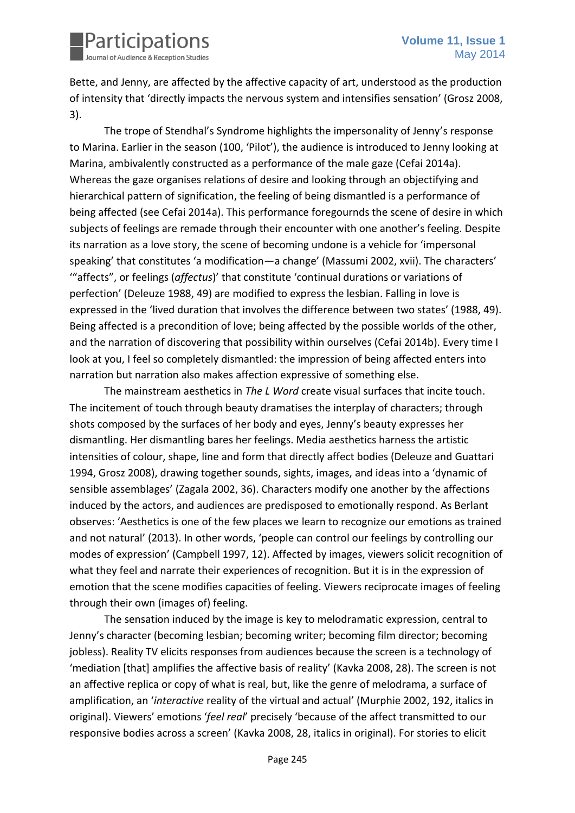

Bette, and Jenny, are affected by the affective capacity of art, understood as the production of intensity that 'directly impacts the nervous system and intensifies sensation' (Grosz 2008, 3).

The trope of Stendhal's Syndrome highlights the impersonality of Jenny's response to Marina. Earlier in the season (100, 'Pilot'), the audience is introduced to Jenny looking at Marina, ambivalently constructed as a performance of the male gaze (Cefai 2014a). Whereas the gaze organises relations of desire and looking through an objectifying and hierarchical pattern of signification, the feeling of being dismantled is a performance of being affected (see Cefai 2014a). This performance foregournds the scene of desire in which subjects of feelings are remade through their encounter with one another's feeling. Despite its narration as a love story, the scene of becoming undone is a vehicle for 'impersonal speaking' that constitutes 'a modification—a change' (Massumi 2002, xvii). The characters' '"affects", or feelings (*affectus*)' that constitute 'continual durations or variations of perfection' (Deleuze 1988, 49) are modified to express the lesbian. Falling in love is expressed in the 'lived duration that involves the difference between two states' (1988, 49). Being affected is a precondition of love; being affected by the possible worlds of the other, and the narration of discovering that possibility within ourselves (Cefai 2014b). Every time I look at you, I feel so completely dismantled: the impression of being affected enters into narration but narration also makes affection expressive of something else.

The mainstream aesthetics in *The L Word* create visual surfaces that incite touch. The incitement of touch through beauty dramatises the interplay of characters; through shots composed by the surfaces of her body and eyes, Jenny's beauty expresses her dismantling. Her dismantling bares her feelings. Media aesthetics harness the artistic intensities of colour, shape, line and form that directly affect bodies (Deleuze and Guattari 1994, Grosz 2008), drawing together sounds, sights, images, and ideas into a 'dynamic of sensible assemblages' (Zagala 2002, 36). Characters modify one another by the affections induced by the actors, and audiences are predisposed to emotionally respond. As Berlant observes: 'Aesthetics is one of the few places we learn to recognize our emotions as trained and not natural' (2013). In other words, 'people can control our feelings by controlling our modes of expression' (Campbell 1997, 12). Affected by images, viewers solicit recognition of what they feel and narrate their experiences of recognition. But it is in the expression of emotion that the scene modifies capacities of feeling. Viewers reciprocate images of feeling through their own (images of) feeling.

The sensation induced by the image is key to melodramatic expression, central to Jenny's character (becoming lesbian; becoming writer; becoming film director; becoming jobless). Reality TV elicits responses from audiences because the screen is a technology of 'mediation [that] amplifies the affective basis of reality' (Kavka 2008, 28). The screen is not an affective replica or copy of what is real, but, like the genre of melodrama, a surface of amplification, an '*interactive* reality of the virtual and actual' (Murphie 2002, 192, italics in original). Viewers' emotions '*feel real*' precisely 'because of the affect transmitted to our responsive bodies across a screen' (Kavka 2008, 28, italics in original). For stories to elicit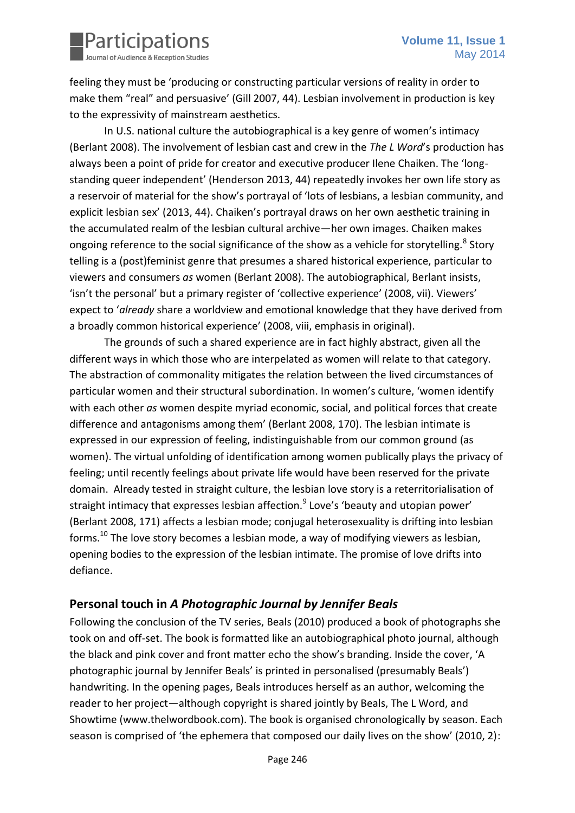

feeling they must be 'producing or constructing particular versions of reality in order to make them "real" and persuasive' (Gill 2007, 44). Lesbian involvement in production is key to the expressivity of mainstream aesthetics.

In U.S. national culture the autobiographical is a key genre of women's intimacy (Berlant 2008). The involvement of lesbian cast and crew in the *The L Word*'s production has always been a point of pride for creator and executive producer Ilene Chaiken. The 'longstanding queer independent' (Henderson 2013, 44) repeatedly invokes her own life story as a reservoir of material for the show's portrayal of 'lots of lesbians, a lesbian community, and explicit lesbian sex' (2013, 44). Chaiken's portrayal draws on her own aesthetic training in the accumulated realm of the lesbian cultural archive—her own images. Chaiken makes ongoing reference to the social significance of the show as a vehicle for storytelling.<sup>8</sup> Story telling is a (post)feminist genre that presumes a shared historical experience, particular to viewers and consumers *as* women (Berlant 2008). The autobiographical, Berlant insists, 'isn't the personal' but a primary register of 'collective experience' (2008, vii). Viewers' expect to '*already* share a worldview and emotional knowledge that they have derived from a broadly common historical experience' (2008, viii, emphasis in original).

The grounds of such a shared experience are in fact highly abstract, given all the different ways in which those who are interpelated as women will relate to that category. The abstraction of commonality mitigates the relation between the lived circumstances of particular women and their structural subordination. In women's culture, 'women identify with each other *as* women despite myriad economic, social, and political forces that create difference and antagonisms among them' (Berlant 2008, 170). The lesbian intimate is expressed in our expression of feeling, indistinguishable from our common ground (as women). The virtual unfolding of identification among women publically plays the privacy of feeling; until recently feelings about private life would have been reserved for the private domain. Already tested in straight culture, the lesbian love story is a reterritorialisation of straight intimacy that expresses lesbian affection.<sup>9</sup> Love's 'beauty and utopian power' (Berlant 2008, 171) affects a lesbian mode; conjugal heterosexuality is drifting into lesbian forms.<sup>10</sup> The love story becomes a lesbian mode, a way of modifying viewers as lesbian, opening bodies to the expression of the lesbian intimate. The promise of love drifts into defiance.

## **Personal touch in** *A Photographic Journal by Jennifer Beals*

Following the conclusion of the TV series, Beals (2010) produced a book of photographs she took on and off-set. The book is formatted like an autobiographical photo journal, although the black and pink cover and front matter echo the show's branding. Inside the cover, 'A photographic journal by Jennifer Beals' is printed in personalised (presumably Beals') handwriting. In the opening pages, Beals introduces herself as an author, welcoming the reader to her project—although copyright is shared jointly by Beals, The L Word, and Showtime (www.thelwordbook.com). The book is organised chronologically by season. Each season is comprised of 'the ephemera that composed our daily lives on the show' (2010, 2):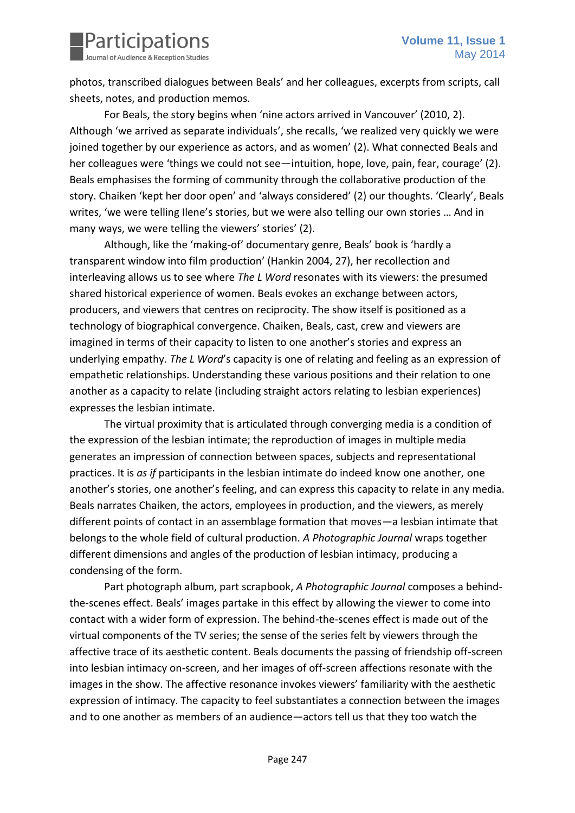

photos, transcribed dialogues between Beals' and her colleagues, excerpts from scripts, call sheets, notes, and production memos.

For Beals, the story begins when 'nine actors arrived in Vancouver' (2010, 2). Although 'we arrived as separate individuals', she recalls, 'we realized very quickly we were joined together by our experience as actors, and as women' (2). What connected Beals and her colleagues were 'things we could not see—intuition, hope, love, pain, fear, courage' (2). Beals emphasises the forming of community through the collaborative production of the story. Chaiken 'kept her door open' and 'always considered' (2) our thoughts. 'Clearly', Beals writes, 'we were telling Ilene's stories, but we were also telling our own stories … And in many ways, we were telling the viewers' stories' (2).

Although, like the 'making-of' documentary genre, Beals' book is 'hardly a transparent window into film production' (Hankin 2004, 27), her recollection and interleaving allows us to see where *The L Word* resonates with its viewers: the presumed shared historical experience of women. Beals evokes an exchange between actors, producers, and viewers that centres on reciprocity. The show itself is positioned as a technology of biographical convergence. Chaiken, Beals, cast, crew and viewers are imagined in terms of their capacity to listen to one another's stories and express an underlying empathy. *The L Word*'s capacity is one of relating and feeling as an expression of empathetic relationships. Understanding these various positions and their relation to one another as a capacity to relate (including straight actors relating to lesbian experiences) expresses the lesbian intimate.

The virtual proximity that is articulated through converging media is a condition of the expression of the lesbian intimate; the reproduction of images in multiple media generates an impression of connection between spaces, subjects and representational practices. It is *as if* participants in the lesbian intimate do indeed know one another, one another's stories, one another's feeling, and can express this capacity to relate in any media. Beals narrates Chaiken, the actors, employees in production, and the viewers, as merely different points of contact in an assemblage formation that moves—a lesbian intimate that belongs to the whole field of cultural production. *A Photographic Journal* wraps together different dimensions and angles of the production of lesbian intimacy, producing a condensing of the form.

Part photograph album, part scrapbook, *A Photographic Journal* composes a behindthe-scenes effect. Beals' images partake in this effect by allowing the viewer to come into contact with a wider form of expression. The behind-the-scenes effect is made out of the virtual components of the TV series; the sense of the series felt by viewers through the affective trace of its aesthetic content. Beals documents the passing of friendship off-screen into lesbian intimacy on-screen, and her images of off-screen affections resonate with the images in the show. The affective resonance invokes viewers' familiarity with the aesthetic expression of intimacy. The capacity to feel substantiates a connection between the images and to one another as members of an audience—actors tell us that they too watch the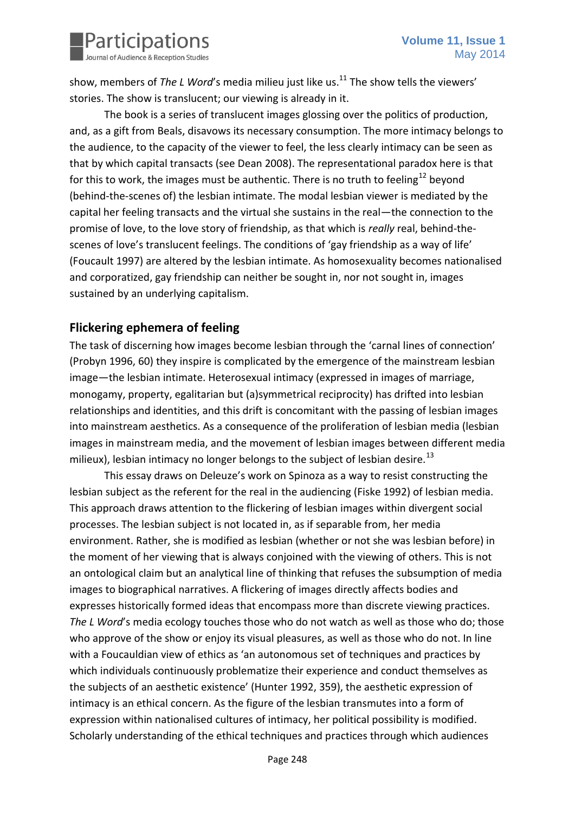

show, members of *The L Word*'s media milieu just like us.<sup>11</sup> The show tells the viewers' stories. The show is translucent; our viewing is already in it.

The book is a series of translucent images glossing over the politics of production, and, as a gift from Beals, disavows its necessary consumption. The more intimacy belongs to the audience, to the capacity of the viewer to feel, the less clearly intimacy can be seen as that by which capital transacts (see Dean 2008). The representational paradox here is that for this to work, the images must be authentic. There is no truth to feeling<sup>12</sup> bevond (behind-the-scenes of) the lesbian intimate. The modal lesbian viewer is mediated by the capital her feeling transacts and the virtual she sustains in the real—the connection to the promise of love, to the love story of friendship, as that which is *really* real, behind-thescenes of love's translucent feelings. The conditions of 'gay friendship as a way of life' (Foucault 1997) are altered by the lesbian intimate. As homosexuality becomes nationalised and corporatized, gay friendship can neither be sought in, nor not sought in, images sustained by an underlying capitalism.

#### **Flickering ephemera of feeling**

The task of discerning how images become lesbian through the 'carnal lines of connection' (Probyn 1996, 60) they inspire is complicated by the emergence of the mainstream lesbian image—the lesbian intimate. Heterosexual intimacy (expressed in images of marriage, monogamy, property, egalitarian but (a)symmetrical reciprocity) has drifted into lesbian relationships and identities, and this drift is concomitant with the passing of lesbian images into mainstream aesthetics. As a consequence of the proliferation of lesbian media (lesbian images in mainstream media, and the movement of lesbian images between different media milieux), lesbian intimacy no longer belongs to the subject of lesbian desire.<sup>13</sup>

This essay draws on Deleuze's work on Spinoza as a way to resist constructing the lesbian subject as the referent for the real in the audiencing (Fiske 1992) of lesbian media. This approach draws attention to the flickering of lesbian images within divergent social processes. The lesbian subject is not located in, as if separable from, her media environment. Rather, she is modified as lesbian (whether or not she was lesbian before) in the moment of her viewing that is always conjoined with the viewing of others. This is not an ontological claim but an analytical line of thinking that refuses the subsumption of media images to biographical narratives. A flickering of images directly affects bodies and expresses historically formed ideas that encompass more than discrete viewing practices. *The L Word*'s media ecology touches those who do not watch as well as those who do; those who approve of the show or enjoy its visual pleasures, as well as those who do not. In line with a Foucauldian view of ethics as 'an autonomous set of techniques and practices by which individuals continuously problematize their experience and conduct themselves as the subjects of an aesthetic existence' (Hunter 1992, 359), the aesthetic expression of intimacy is an ethical concern. As the figure of the lesbian transmutes into a form of expression within nationalised cultures of intimacy, her political possibility is modified. Scholarly understanding of the ethical techniques and practices through which audiences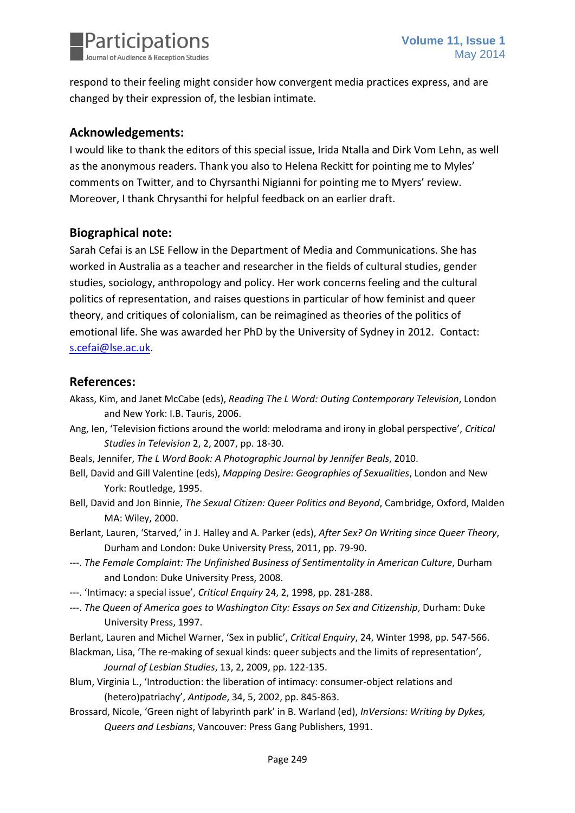

respond to their feeling might consider how convergent media practices express, and are changed by their expression of, the lesbian intimate.

#### **Acknowledgements:**

I would like to thank the editors of this special issue, Irida Ntalla and Dirk Vom Lehn, as well as the anonymous readers. Thank you also to Helena Reckitt for pointing me to Myles' comments on Twitter, and to Chyrsanthi Nigianni for pointing me to Myers' review. Moreover, I thank Chrysanthi for helpful feedback on an earlier draft.

## **Biographical note:**

Sarah Cefai is an LSE Fellow in the Department of Media and Communications. She has worked in Australia as a teacher and researcher in the fields of cultural studies, gender studies, sociology, anthropology and policy. Her work concerns feeling and the cultural politics of representation, and raises questions in particular of how feminist and queer theory, and critiques of colonialism, can be reimagined as theories of the politics of emotional life. She was awarded her PhD by the University of Sydney in 2012. Contact: [s.cefai@lse.ac.uk.](mailto:s.cefai@lse.ac.uk)

#### **References:**

- Akass, Kim, and Janet McCabe (eds), *Reading The L Word: Outing Contemporary Television*, London and New York: I.B. Tauris, 2006.
- Ang, Ien, 'Television fictions around the world: melodrama and irony in global perspective', *Critical Studies in Television* 2, 2, 2007, pp. 18-30.
- Beals, Jennifer, *The L Word Book: A Photographic Journal by Jennifer Beals*, 2010.
- Bell, David and Gill Valentine (eds), *Mapping Desire: Geographies of Sexualities*, London and New York: Routledge, 1995.
- Bell, David and Jon Binnie, *The Sexual Citizen: Queer Politics and Beyond*, Cambridge, Oxford, Malden MA: Wiley, 2000.
- Berlant, Lauren, 'Starved,' in J. Halley and A. Parker (eds), *After Sex? On Writing since Queer Theory*, Durham and London: Duke University Press, 2011, pp. 79-90.
- ---. *The Female Complaint: The Unfinished Business of Sentimentality in American Culture*, Durham and London: Duke University Press, 2008.
- ---. 'Intimacy: a special issue', *Critical Enquiry* 24, 2, 1998, pp. 281-288.
- ---. *The Queen of America goes to Washington City: Essays on Sex and Citizenship*, Durham: Duke University Press, 1997.

Berlant, Lauren and Michel Warner, 'Sex in public', *Critical Enquiry*, 24, Winter 1998, pp. 547-566.

- Blackman, Lisa, 'The re-making of sexual kinds: queer subjects and the limits of representation', *Journal of Lesbian Studies*, 13, 2, 2009, pp. 122-135.
- Blum, Virginia L., 'Introduction: the liberation of intimacy: consumer-object relations and (hetero)patriachy', *Antipode*, 34, 5, 2002, pp. 845-863.
- Brossard, Nicole, 'Green night of labyrinth park' in B. Warland (ed), *InVersions: Writing by Dykes, Queers and Lesbians*, Vancouver: Press Gang Publishers, 1991.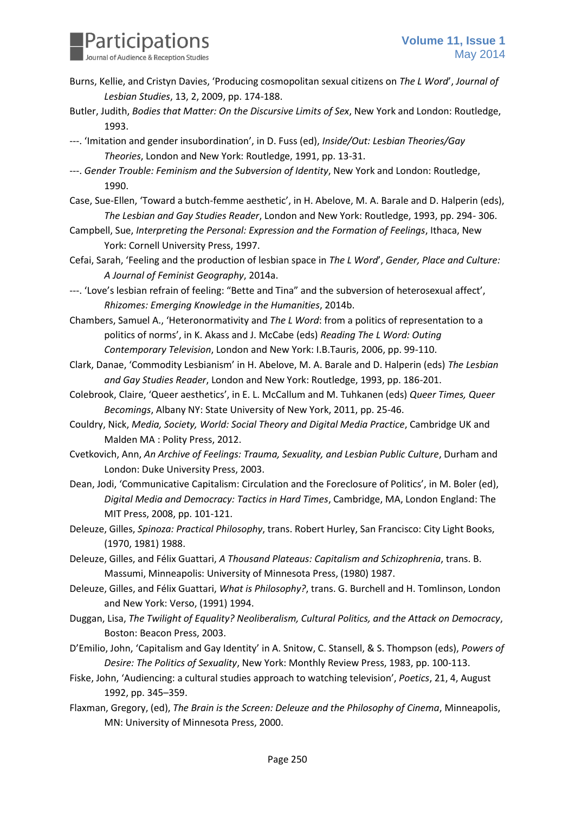

- Burns, Kellie, and Cristyn Davies, 'Producing cosmopolitan sexual citizens on *The L Word*', *Journal of Lesbian Studies*, 13, 2, 2009, pp. 174-188.
- Butler, Judith, *Bodies that Matter: On the Discursive Limits of Sex*, New York and London: Routledge, 1993.
- ---. 'Imitation and gender insubordination', in D. Fuss (ed), *Inside/Out: Lesbian Theories/Gay Theories*, London and New York: Routledge, 1991, pp. 13-31.
- ---. *Gender Trouble: Feminism and the Subversion of Identity*, New York and London: Routledge, 1990.
- Case, Sue-Ellen, 'Toward a butch-femme aesthetic', in H. Abelove, M. A. Barale and D. Halperin (eds), *The Lesbian and Gay Studies Reader*, London and New York: Routledge, 1993, pp. 294- 306.
- Campbell, Sue, *Interpreting the Personal: Expression and the Formation of Feelings*, Ithaca, New York: Cornell University Press, 1997.
- Cefai, Sarah, 'Feeling and the production of lesbian space in *The L Word*', *Gender, Place and Culture: A Journal of Feminist Geography*, 2014a.
- ---. 'Love's lesbian refrain of feeling: "Bette and Tina" and the subversion of heterosexual affect', *Rhizomes: Emerging Knowledge in the Humanities*, 2014b.
- Chambers, Samuel A., 'Heteronormativity and *The L Word*: from a politics of representation to a politics of norms', in K. Akass and J. McCabe (eds) *Reading The L Word: Outing Contemporary Television*, London and New York: I.B.Tauris, 2006, pp. 99-110.
- Clark, Danae, 'Commodity Lesbianism' in H. Abelove, M. A. Barale and D. Halperin (eds) *The Lesbian and Gay Studies Reader*, London and New York: Routledge, 1993, pp. 186-201.
- Colebrook, Claire, 'Queer aesthetics', in E. L. McCallum and M. Tuhkanen (eds) *Queer Times, Queer Becomings*, Albany NY: State University of New York, 2011, pp. 25-46.
- Couldry, Nick, *Media, Society, World: Social Theory and Digital Media Practice*, Cambridge UK and Malden MA : Polity Press, 2012.
- Cvetkovich, Ann, *An Archive of Feelings: Trauma, Sexuality, and Lesbian Public Culture*, Durham and London: Duke University Press, 2003.
- Dean, Jodi, 'Communicative Capitalism: Circulation and the Foreclosure of Politics', in M. Boler (ed), *Digital Media and Democracy: Tactics in Hard Times*, Cambridge, MA, London England: The MIT Press, 2008, pp. 101-121.
- Deleuze, Gilles, *Spinoza: Practical Philosophy*, trans. Robert Hurley, San Francisco: City Light Books, (1970, 1981) 1988.
- Deleuze, Gilles, and Félix Guattari, *A Thousand Plateaus: Capitalism and Schizophrenia*, trans. B. Massumi, Minneapolis: University of Minnesota Press, (1980) 1987.
- Deleuze, Gilles, and Félix Guattari, *What is Philosophy?*, trans. G. Burchell and H. Tomlinson, London and New York: Verso, (1991) 1994.
- Duggan, Lisa, *The Twilight of Equality? Neoliberalism, Cultural Politics, and the Attack on Democracy*, Boston: Beacon Press, 2003.
- D'Emilio, John, 'Capitalism and Gay Identity' in A. Snitow, C. Stansell, & S. Thompson (eds), *Powers of Desire: The Politics of Sexuality*, New York: Monthly Review Press, 1983, pp. 100-113.
- Fiske, John, 'Audiencing: a cultural studies approach to watching television', *Poetics*, 21, 4, August 1992, pp. 345–359.
- Flaxman, Gregory, (ed), *The Brain is the Screen: Deleuze and the Philosophy of Cinema*, Minneapolis, MN: University of Minnesota Press, 2000.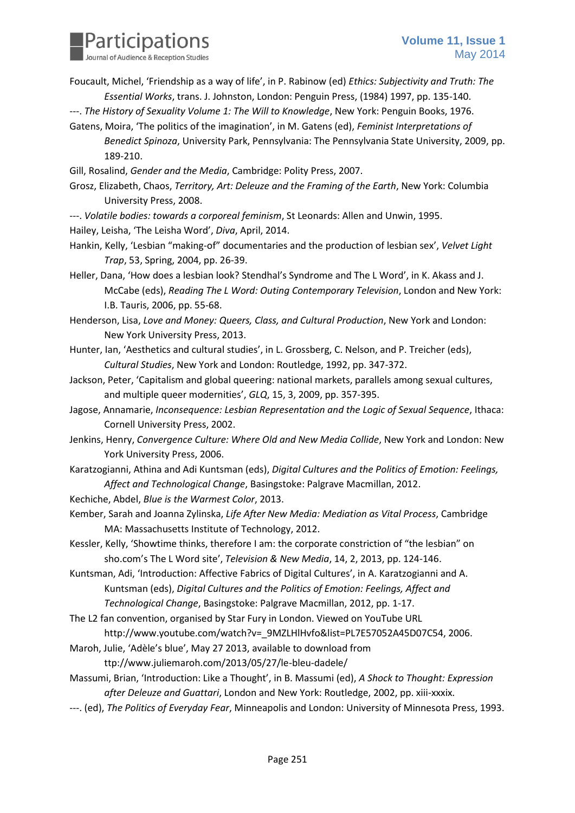

- Foucault, Michel, 'Friendship as a way of life', in P. Rabinow (ed) *Ethics: Subjectivity and Truth: The Essential Works*, trans. J. Johnston, London: Penguin Press, (1984) 1997, pp. 135-140.
- ---. *The History of Sexuality Volume 1: The Will to Knowledge*, New York: Penguin Books, 1976.
- Gatens, Moira, 'The politics of the imagination', in M. Gatens (ed), *Feminist Interpretations of Benedict Spinoza*, University Park, Pennsylvania: The Pennsylvania State University, 2009, pp. 189-210.
- Gill, Rosalind, *Gender and the Media*, Cambridge: Polity Press, 2007.

Grosz, Elizabeth, Chaos, *Territory, Art: Deleuze and the Framing of the Earth*, New York: Columbia University Press, 2008.

- ---. *Volatile bodies: towards a corporeal feminism*, St Leonards: Allen and Unwin, 1995. Hailey, Leisha, 'The Leisha Word', *Diva*, April, 2014.
- Hankin, Kelly, 'Lesbian "making-of" documentaries and the production of lesbian sex', *Velvet Light Trap*, 53, Spring, 2004, pp. 26-39.
- Heller, Dana, 'How does a lesbian look? Stendhal's Syndrome and The L Word', in K. Akass and J. McCabe (eds), *Reading The L Word: Outing Contemporary Television*, London and New York: I.B. Tauris, 2006, pp. 55-68.
- Henderson, Lisa, *Love and Money: Queers, Class, and Cultural Production*, New York and London: New York University Press, 2013.
- Hunter, Ian, 'Aesthetics and cultural studies', in L. Grossberg, C. Nelson, and P. Treicher (eds), *Cultural Studies*, New York and London: Routledge, 1992, pp. 347-372.
- Jackson, Peter, 'Capitalism and global queering: national markets, parallels among sexual cultures, and multiple queer modernities', *GLQ*, 15, 3, 2009, pp. 357-395.
- Jagose, Annamarie, *Inconsequence: Lesbian Representation and the Logic of Sexual Sequence*, Ithaca: Cornell University Press, 2002.
- Jenkins, Henry, *Convergence Culture: Where Old and New Media Collide*, New York and London: New York University Press, 2006.
- Karatzogianni, Athina and Adi Kuntsman (eds), *Digital Cultures and the Politics of Emotion: Feelings, Affect and Technological Change*, Basingstoke: Palgrave Macmillan, 2012.
- Kechiche, Abdel, *Blue is the Warmest Color*, 2013.
- Kember, Sarah and Joanna Zylinska, *Life After New Media: Mediation as Vital Process*, Cambridge MA: Massachusetts Institute of Technology, 2012.
- Kessler, Kelly, 'Showtime thinks, therefore I am: the corporate constriction of "the lesbian" on sho.com's The L Word site', *Television & New Media*, 14, 2, 2013, pp. 124-146.
- Kuntsman, Adi, 'Introduction: Affective Fabrics of Digital Cultures', in A. Karatzogianni and A. Kuntsman (eds), *Digital Cultures and the Politics of Emotion: Feelings, Affect and Technological Change*, Basingstoke: Palgrave Macmillan, 2012, pp. 1-17.
- The L2 fan convention, organised by Star Fury in London. Viewed on YouTube URL

http://www.youtube.com/watch?v=\_9MZLHlHvfo&list=PL7E57052A45D07C54, 2006.

- Maroh, Julie, 'Adèle's blue', May 27 2013, available to download from
	- ttp://www.juliemaroh.com/2013/05/27/le-bleu-dadele/
- Massumi, Brian, 'Introduction: Like a Thought', in B. Massumi (ed), *A Shock to Thought: Expression after Deleuze and Guattari*, London and New York: Routledge, 2002, pp. xiii-xxxix.
- ---. (ed), *The Politics of Everyday Fear*, Minneapolis and London: University of Minnesota Press, 1993.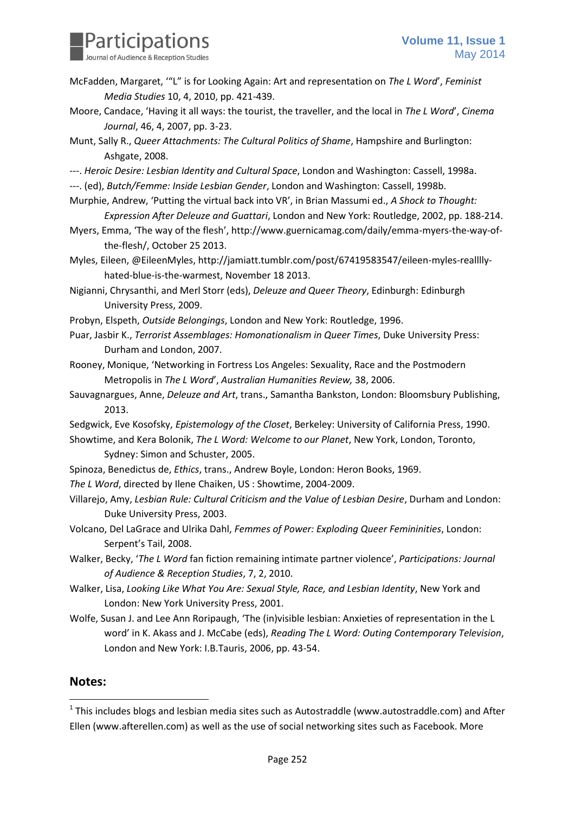

- McFadden, Margaret, '"L" is for Looking Again: Art and representation on *The L Word*', *Feminist Media Studies* 10, 4, 2010, pp. 421-439.
- Moore, Candace, 'Having it all ways: the tourist, the traveller, and the local in *The L Word*', *Cinema Journal*, 46, 4, 2007, pp. 3-23.
- Munt, Sally R., *Queer Attachments: The Cultural Politics of Shame*, Hampshire and Burlington: Ashgate, 2008.
- ---. *Heroic Desire: Lesbian Identity and Cultural Space*, London and Washington: Cassell, 1998a.
- ---. (ed), *Butch/Femme: Inside Lesbian Gender*, London and Washington: Cassell, 1998b.
- Murphie, Andrew, 'Putting the virtual back into VR', in Brian Massumi ed., *A Shock to Thought: Expression After Deleuze and Guattari*, London and New York: Routledge, 2002, pp. 188-214.
- Myers, Emma, 'The way of the flesh', http://www.guernicamag.com/daily/emma-myers-the-way-ofthe-flesh/, October 25 2013.
- Myles, Eileen, @EileenMyles, http://jamiatt.tumblr.com/post/67419583547/eileen-myles-reallllyhated-blue-is-the-warmest, November 18 2013.

Nigianni, Chrysanthi, and Merl Storr (eds), *Deleuze and Queer Theory*, Edinburgh: Edinburgh University Press, 2009.

- Probyn, Elspeth, *Outside Belongings*, London and New York: Routledge, 1996.
- Puar, Jasbir K., *Terrorist Assemblages: Homonationalism in Queer Times*, Duke University Press: Durham and London, 2007.
- Rooney, Monique, 'Networking in Fortress Los Angeles: Sexuality, Race and the Postmodern Metropolis in *The L Word*', *Australian Humanities Review,* 38, 2006.
- Sauvagnargues, Anne, *Deleuze and Art*, trans., Samantha Bankston, London: Bloomsbury Publishing, 2013.
- Sedgwick, Eve Kosofsky, *Epistemology of the Closet*, Berkeley: University of California Press, 1990.
- Showtime, and Kera Bolonik, *The L Word: Welcome to our Planet*, New York, London, Toronto, Sydney: Simon and Schuster, 2005.
- Spinoza, Benedictus de, *Ethics*, trans., Andrew Boyle, London: Heron Books, 1969.
- *The L Word*, directed by Ilene Chaiken, US : Showtime, 2004-2009.
- Villarejo, Amy, *Lesbian Rule: Cultural Criticism and the Value of Lesbian Desire*, Durham and London: Duke University Press, 2003.
- Volcano, Del LaGrace and Ulrika Dahl, *Femmes of Power: Exploding Queer Femininities*, London: Serpent's Tail, 2008.
- Walker, Becky, '*The L Word* fan fiction remaining intimate partner violence', *Participations: Journal of Audience & Reception Studies*, 7, 2, 2010.
- Walker, Lisa, *Looking Like What You Are: Sexual Style, Race, and Lesbian Identity*, New York and London: New York University Press, 2001.
- Wolfe, Susan J. and Lee Ann Roripaugh, 'The (in)visible lesbian: Anxieties of representation in the L word' in K. Akass and J. McCabe (eds), *Reading The L Word: Outing Contemporary Television*, London and New York: I.B.Tauris, 2006, pp. 43-54.

#### **Notes:**

 $\overline{a}$ 

 $1$  This includes blogs and lesbian media sites such as Autostraddle (www.autostraddle.com) and After Ellen (www.afterellen.com) as well as the use of social networking sites such as Facebook. More